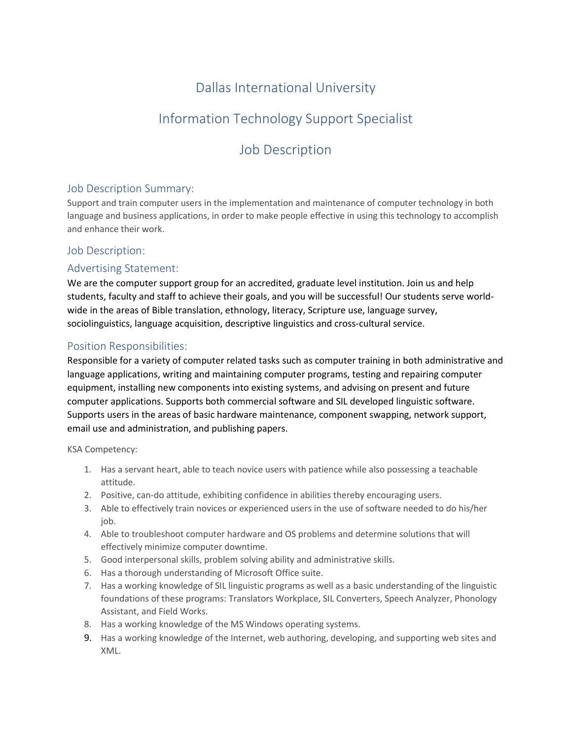## Dallas International University

# Information Technology Support Specialist

## Job Description

### Job Description Summary:

Support and train computer users in the implementation and maintenance of computer technology in both language and business applications, in order to make people effective in using this technology to accomplish and enhance their work.

### Job Description:

### Advertising Statement:

We are the computer support group for an accredited, graduate level institution. Join us and help students, faculty and staff to achieve their goals, and you will be successful! Our students serve worldwide in the areas of Bible translation, ethnology, literacy, Scripture use, language survey, sociolinguistics, language acquisition, descriptive linguistics and cross-cultural service.

### Position Responsibilities:

Responsible for a variety of computer related tasks such as computer training in both administrative and language applications, writing and maintaining computer programs, testing and repairing computer equipment, installing new components into existing systems, and advising on present and future computer applications. Supports both commercial software and SIL developed linguistic software. Supports users in the areas of basic hardware maintenance, component swapping, network support, email use and administration, and publishing papers.

KSA Competency:

- 1. Has a servant heart, able to teach novice users with patience while also possessing a teachable attitude.
- 2. Positive, can-do attitude, exhibiting confidence in abilities thereby encouraging users.
- 3. Able to effectively train novices or experienced users in the use of software needed to do his/her job.
- 4. Able to troubleshoot computer hardware and OS problems and determine solutions that will effectively minimize computer downtime.
- 5. Good interpersonal skills, problem solving ability and administrative skills.
- 6. Has a thorough understanding of Microsoft Office suite.
- 7. Has a working knowledge of SIL linguistic programs as well as a basic understanding of the linguistic foundations of these programs: Translators Workplace, SIL Converters, Speech Analyzer, Phonology Assistant, and Field Works.
- 8. Has a working knowledge of the MS Windows operating systems.
- 9. Has a working knowledge of the Internet, web authoring, developing, and supporting web sites and XML.